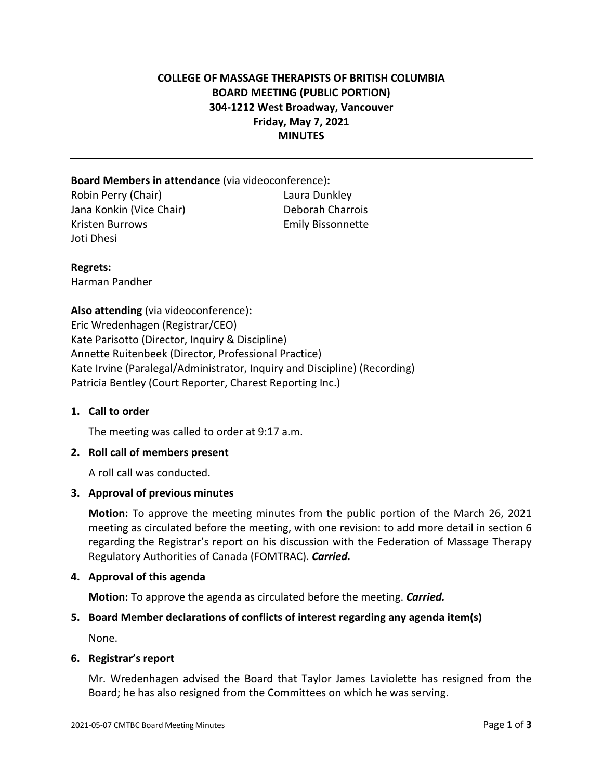# **COLLEGE OF MASSAGE THERAPISTS OF BRITISH COLUMBIA BOARD MEETING (PUBLIC PORTION) 304-1212 West Broadway, Vancouver Friday, May 7, 2021 MINUTES**

## **Board Members in attendance** (via videoconference)**:**

Robin Perry (Chair) Laura Dunkley Jana Konkin (Vice Chair) Deborah Charrois Kristen Burrows **Emily Bissonnette** Joti Dhesi

# **Regrets:**

Harman Pandher

**Also attending** (via videoconference)**:** Eric Wredenhagen (Registrar/CEO) Kate Parisotto (Director, Inquiry & Discipline) Annette Ruitenbeek (Director, Professional Practice) Kate Irvine (Paralegal/Administrator, Inquiry and Discipline) (Recording) Patricia Bentley (Court Reporter, Charest Reporting Inc.)

## **1. Call to order**

The meeting was called to order at 9:17 a.m.

## **2. Roll call of members present**

A roll call was conducted.

## **3. Approval of previous minutes**

**Motion:** To approve the meeting minutes from the public portion of the March 26, 2021 meeting as circulated before the meeting, with one revision: to add more detail in section 6 regarding the Registrar's report on his discussion with the Federation of Massage Therapy Regulatory Authorities of Canada (FOMTRAC). *Carried.*

## **4. Approval of this agenda**

**Motion:** To approve the agenda as circulated before the meeting. *Carried.*

# **5. Board Member declarations of conflicts of interest regarding any agenda item(s)**

None.

## **6. Registrar's report**

Mr. Wredenhagen advised the Board that Taylor James Laviolette has resigned from the Board; he has also resigned from the Committees on which he was serving.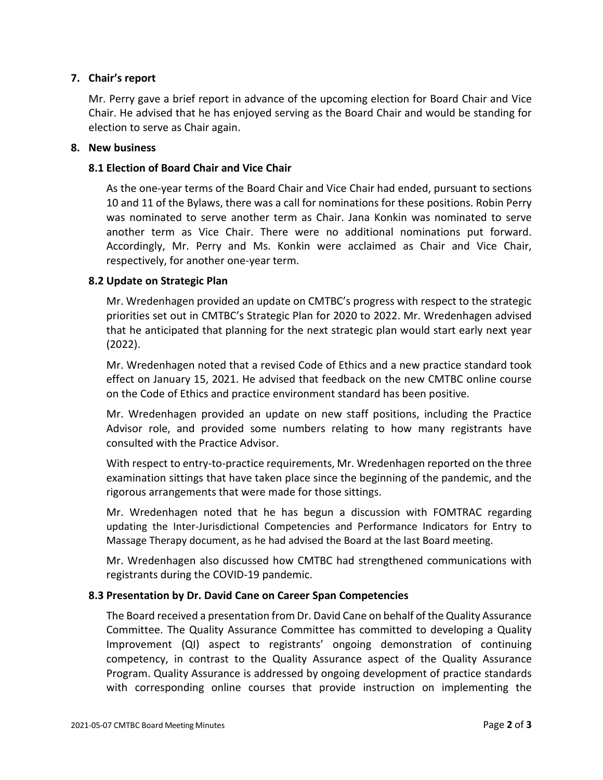## **7. Chair's report**

Mr. Perry gave a brief report in advance of the upcoming election for Board Chair and Vice Chair. He advised that he has enjoyed serving as the Board Chair and would be standing for election to serve as Chair again.

#### **8. New business**

### **8.1 Election of Board Chair and Vice Chair**

As the one-year terms of the Board Chair and Vice Chair had ended, pursuant to sections 10 and 11 of the Bylaws, there was a call for nominations for these positions. Robin Perry was nominated to serve another term as Chair. Jana Konkin was nominated to serve another term as Vice Chair. There were no additional nominations put forward. Accordingly, Mr. Perry and Ms. Konkin were acclaimed as Chair and Vice Chair, respectively, for another one-year term.

### **8.2 Update on Strategic Plan**

Mr. Wredenhagen provided an update on CMTBC's progress with respect to the strategic priorities set out in CMTBC's Strategic Plan for 2020 to 2022. Mr. Wredenhagen advised that he anticipated that planning for the next strategic plan would start early next year (2022).

Mr. Wredenhagen noted that a revised Code of Ethics and a new practice standard took effect on January 15, 2021. He advised that feedback on the new CMTBC online course on the Code of Ethics and practice environment standard has been positive.

Mr. Wredenhagen provided an update on new staff positions, including the Practice Advisor role, and provided some numbers relating to how many registrants have consulted with the Practice Advisor.

With respect to entry-to-practice requirements, Mr. Wredenhagen reported on the three examination sittings that have taken place since the beginning of the pandemic, and the rigorous arrangements that were made for those sittings.

Mr. Wredenhagen noted that he has begun a discussion with FOMTRAC regarding updating the Inter-Jurisdictional Competencies and Performance Indicators for Entry to Massage Therapy document, as he had advised the Board at the last Board meeting.

Mr. Wredenhagen also discussed how CMTBC had strengthened communications with registrants during the COVID-19 pandemic.

## **8.3 Presentation by Dr. David Cane on Career Span Competencies**

The Board received a presentation from Dr. David Cane on behalf of the Quality Assurance Committee. The Quality Assurance Committee has committed to developing a Quality Improvement (QI) aspect to registrants' ongoing demonstration of continuing competency, in contrast to the Quality Assurance aspect of the Quality Assurance Program. Quality Assurance is addressed by ongoing development of practice standards with corresponding online courses that provide instruction on implementing the